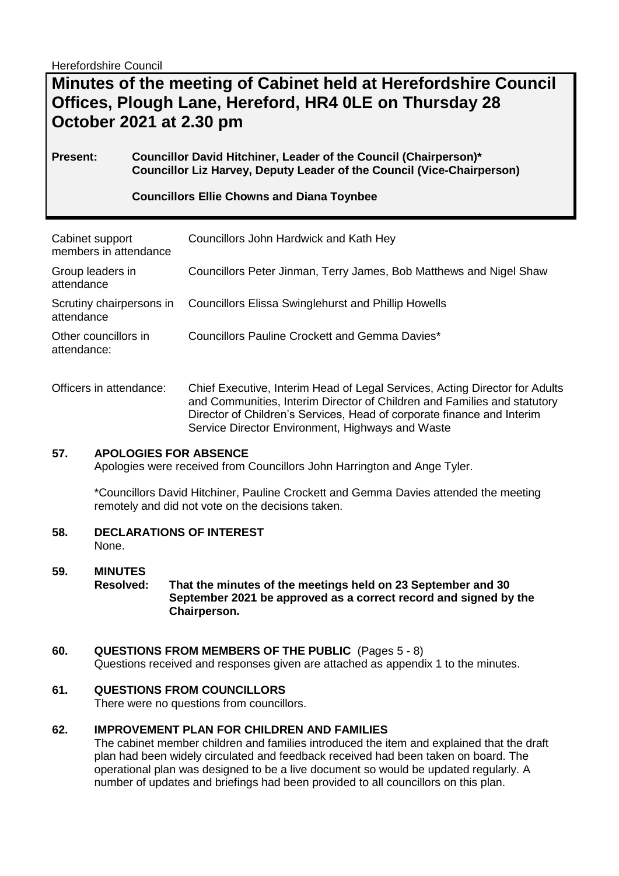Herefordshire Council

# **Minutes of the meeting of Cabinet held at Herefordshire Council Offices, Plough Lane, Hereford, HR4 0LE on Thursday 28 October 2021 at 2.30 pm**

#### **Present: Councillor David Hitchiner, Leader of the Council (Chairperson)\* Councillor Liz Harvey, Deputy Leader of the Council (Vice-Chairperson)**

## **Councillors Ellie Chowns and Diana Toynbee**

| Cabinet support<br>members in attendance | Councillors John Hardwick and Kath Hey                                      |
|------------------------------------------|-----------------------------------------------------------------------------|
| Group leaders in<br>attendance           | Councillors Peter Jinman, Terry James, Bob Matthews and Nigel Shaw          |
| Scrutiny chairpersons in<br>attendance   | <b>Councillors Elissa Swinglehurst and Phillip Howells</b>                  |
| Other councillors in<br>attendance:      | Councillors Pauline Crockett and Gemma Davies*                              |
| Officers in attendance:                  | Chief Executive, Interim Head of Legal Services, Acting Director for Adults |

and Communities, Interim Director of Children and Families and statutory Director of Children's Services, Head of corporate finance and Interim Service Director Environment, Highways and Waste

#### **57. APOLOGIES FOR ABSENCE**

Apologies were received from Councillors John Harrington and Ange Tyler.

\*Councillors David Hitchiner, Pauline Crockett and Gemma Davies attended the meeting remotely and did not vote on the decisions taken.

**58. DECLARATIONS OF INTEREST** 

None.

#### **59. MINUTES Resolved: That the minutes of the meetings held on 23 September and 30 September 2021 be approved as a correct record and signed by the Chairperson.**

## **60. QUESTIONS FROM MEMBERS OF THE PUBLIC** (Pages 5 - 8)

Questions received and responses given are attached as appendix 1 to the minutes.

#### **61. QUESTIONS FROM COUNCILLORS**

There were no questions from councillors.

#### **62. IMPROVEMENT PLAN FOR CHILDREN AND FAMILIES**

The cabinet member children and families introduced the item and explained that the draft plan had been widely circulated and feedback received had been taken on board. The operational plan was designed to be a live document so would be updated regularly. A number of updates and briefings had been provided to all councillors on this plan.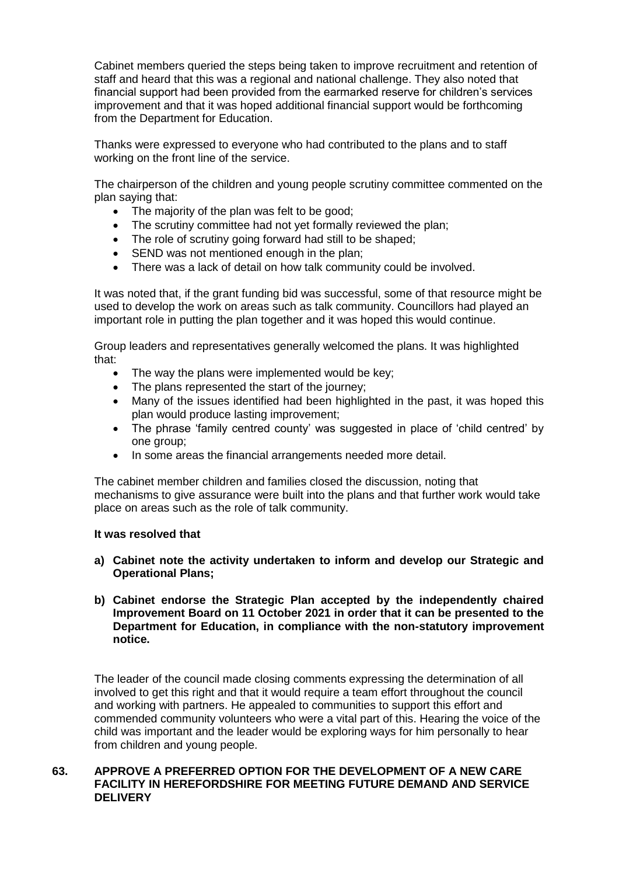Cabinet members queried the steps being taken to improve recruitment and retention of staff and heard that this was a regional and national challenge. They also noted that financial support had been provided from the earmarked reserve for children's services improvement and that it was hoped additional financial support would be forthcoming from the Department for Education.

Thanks were expressed to everyone who had contributed to the plans and to staff working on the front line of the service.

The chairperson of the children and young people scrutiny committee commented on the plan saying that:

- The majority of the plan was felt to be good;
- The scrutiny committee had not yet formally reviewed the plan;
- The role of scrutiny going forward had still to be shaped;
- SEND was not mentioned enough in the plan;
- There was a lack of detail on how talk community could be involved.

It was noted that, if the grant funding bid was successful, some of that resource might be used to develop the work on areas such as talk community. Councillors had played an important role in putting the plan together and it was hoped this would continue.

Group leaders and representatives generally welcomed the plans. It was highlighted that:

- The way the plans were implemented would be key;
- The plans represented the start of the journey:
- Many of the issues identified had been highlighted in the past, it was hoped this plan would produce lasting improvement;
- The phrase 'family centred county' was suggested in place of 'child centred' by one group;
- In some areas the financial arrangements needed more detail.

The cabinet member children and families closed the discussion, noting that mechanisms to give assurance were built into the plans and that further work would take place on areas such as the role of talk community.

#### **It was resolved that**

- **a) Cabinet note the activity undertaken to inform and develop our Strategic and Operational Plans;**
- **b) Cabinet endorse the Strategic Plan accepted by the independently chaired Improvement Board on 11 October 2021 in order that it can be presented to the Department for Education, in compliance with the non-statutory improvement notice.**

The leader of the council made closing comments expressing the determination of all involved to get this right and that it would require a team effort throughout the council and working with partners. He appealed to communities to support this effort and commended community volunteers who were a vital part of this. Hearing the voice of the child was important and the leader would be exploring ways for him personally to hear from children and young people.

#### **63. APPROVE A PREFERRED OPTION FOR THE DEVELOPMENT OF A NEW CARE FACILITY IN HEREFORDSHIRE FOR MEETING FUTURE DEMAND AND SERVICE DELIVERY**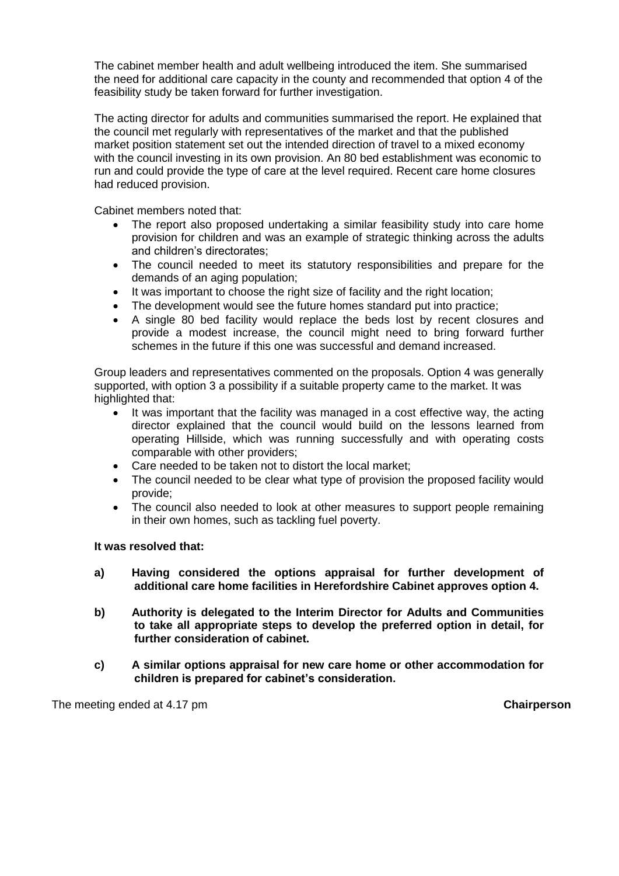The cabinet member health and adult wellbeing introduced the item. She summarised the need for additional care capacity in the county and recommended that option 4 of the feasibility study be taken forward for further investigation.

The acting director for adults and communities summarised the report. He explained that the council met regularly with representatives of the market and that the published market position statement set out the intended direction of travel to a mixed economy with the council investing in its own provision. An 80 bed establishment was economic to run and could provide the type of care at the level required. Recent care home closures had reduced provision.

Cabinet members noted that:

- The report also proposed undertaking a similar feasibility study into care home provision for children and was an example of strategic thinking across the adults and children's directorates;
- The council needed to meet its statutory responsibilities and prepare for the demands of an aging population;
- It was important to choose the right size of facility and the right location:
- The development would see the future homes standard put into practice;
- A single 80 bed facility would replace the beds lost by recent closures and provide a modest increase, the council might need to bring forward further schemes in the future if this one was successful and demand increased.

Group leaders and representatives commented on the proposals. Option 4 was generally supported, with option 3 a possibility if a suitable property came to the market. It was highlighted that:

- It was important that the facility was managed in a cost effective way, the acting director explained that the council would build on the lessons learned from operating Hillside, which was running successfully and with operating costs comparable with other providers;
- Care needed to be taken not to distort the local market;
- The council needed to be clear what type of provision the proposed facility would provide;
- The council also needed to look at other measures to support people remaining in their own homes, such as tackling fuel poverty.

#### **It was resolved that:**

- **a) Having considered the options appraisal for further development of additional care home facilities in Herefordshire Cabinet approves option 4.**
- **b) Authority is delegated to the Interim Director for Adults and Communities to take all appropriate steps to develop the preferred option in detail, for further consideration of cabinet.**
- **c) A similar options appraisal for new care home or other accommodation for children is prepared for cabinet's consideration.**

The meeting ended at 4.17 pm **Chairperson**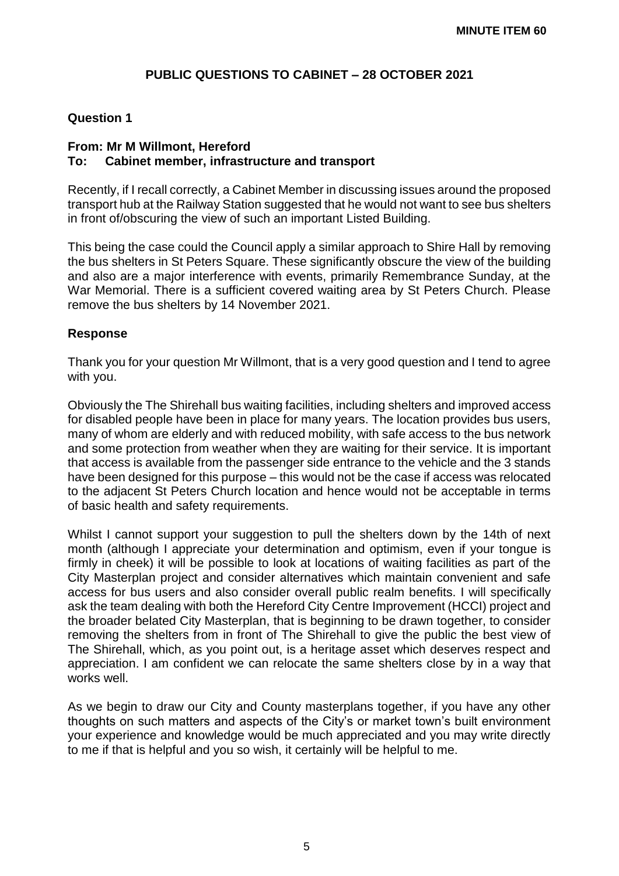# **PUBLIC QUESTIONS TO CABINET – 28 OCTOBER 2021**

#### **Question 1**

## **From: Mr M Willmont, Hereford To: Cabinet member, infrastructure and transport**

Recently, if I recall correctly, a Cabinet Member in discussing issues around the proposed transport hub at the Railway Station suggested that he would not want to see bus shelters in front of/obscuring the view of such an important Listed Building.

This being the case could the Council apply a similar approach to Shire Hall by removing the bus shelters in St Peters Square. These significantly obscure the view of the building and also are a major interference with events, primarily Remembrance Sunday, at the War Memorial. There is a sufficient covered waiting area by St Peters Church. Please remove the bus shelters by 14 November 2021.

#### **Response**

Thank you for your question Mr Willmont, that is a very good question and I tend to agree with you.

Obviously the The Shirehall bus waiting facilities, including shelters and improved access for disabled people have been in place for many years. The location provides bus users, many of whom are elderly and with reduced mobility, with safe access to the bus network and some protection from weather when they are waiting for their service. It is important that access is available from the passenger side entrance to the vehicle and the 3 stands have been designed for this purpose – this would not be the case if access was relocated to the adjacent St Peters Church location and hence would not be acceptable in terms of basic health and safety requirements.

Whilst I cannot support your suggestion to pull the shelters down by the 14th of next month (although I appreciate your determination and optimism, even if your tongue is firmly in cheek) it will be possible to look at locations of waiting facilities as part of the City Masterplan project and consider alternatives which maintain convenient and safe access for bus users and also consider overall public realm benefits. I will specifically ask the team dealing with both the Hereford City Centre Improvement (HCCI) project and the broader belated City Masterplan, that is beginning to be drawn together, to consider removing the shelters from in front of The Shirehall to give the public the best view of The Shirehall, which, as you point out, is a heritage asset which deserves respect and appreciation. I am confident we can relocate the same shelters close by in a way that works well.

As we begin to draw our City and County masterplans together, if you have any other thoughts on such matters and aspects of the City's or market town's built environment your experience and knowledge would be much appreciated and you may write directly to me if that is helpful and you so wish, it certainly will be helpful to me.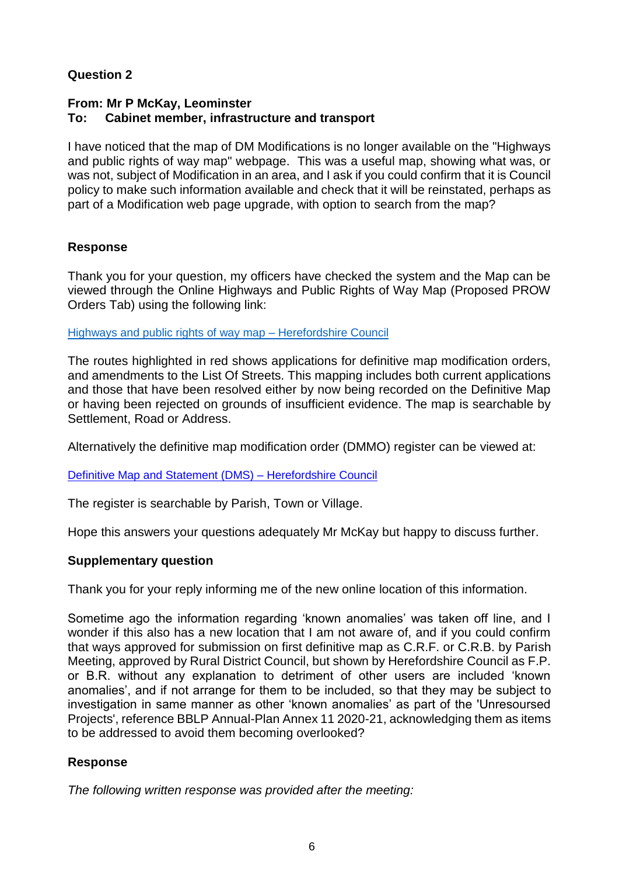# **Question 2**

# **From: Mr P McKay, Leominster To: Cabinet member, infrastructure and transport**

I have noticed that the map of DM Modifications is no longer available on the "Highways and public rights of way map" webpage. This was a useful map, showing what was, or was not, subject of Modification in an area, and I ask if you could confirm that it is Council policy to make such information available and check that it will be reinstated, perhaps as part of a Modification web page upgrade, with option to search from the map?

# **Response**

Thank you for your question, my officers have checked the system and the Map can be viewed through the Online Highways and Public Rights of Way Map (Proposed PROW Orders Tab) using the following link:

[Highways and public rights of way map –](https://www.herefordshire.gov.uk/travel-transport/highways-public-rights-way-map) Herefordshire Council

The routes highlighted in red shows applications for definitive map modification orders, and amendments to the List Of Streets. This mapping includes both current applications and those that have been resolved either by now being recorded on the Definitive Map or having been rejected on grounds of insufficient evidence. The map is searchable by Settlement, Road or Address.

Alternatively the definitive map modification order (DMMO) register can be viewed at:

[Definitive Map and Statement \(DMS\) –](https://www.herefordshire.gov.uk/public-rights-way/definitive-map-statement-dms/4) Herefordshire Council

The register is searchable by Parish, Town or Village.

Hope this answers your questions adequately Mr McKay but happy to discuss further.

## **Supplementary question**

Thank you for your reply informing me of the new online location of this information.

Sometime ago the information regarding 'known anomalies' was taken off line, and I wonder if this also has a new location that I am not aware of, and if you could confirm that ways approved for submission on first definitive map as C.R.F. or C.R.B. by Parish Meeting, approved by Rural District Council, but shown by Herefordshire Council as F.P. or B.R. without any explanation to detriment of other users are included 'known anomalies', and if not arrange for them to be included, so that they may be subject to investigation in same manner as other 'known anomalies' as part of the 'Unresoursed Projects', reference BBLP Annual-Plan Annex 11 2020-21, acknowledging them as items to be addressed to avoid them becoming overlooked?

# **Response**

*The following written response was provided after the meeting:*